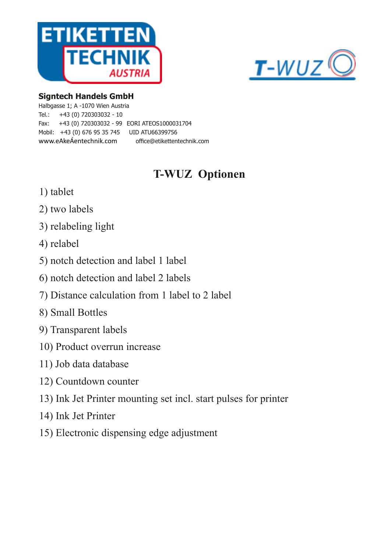



#### **Signtech Handels GmbH**

Halbgasse 1; A -1070 Wien Austria Tel.: +43 (0) 720303032 - 10 Fax: +43 (0) 720303032 - 99 EORI ATEOS1000031704 Mobil: +43 (0) 676 95 35 745 UID ATU66399756 www.eAkeÁentechnik.com office@etikettentechnik.com

# **T-WUZ Optionen**

- 1) tablet
- 2) two labels
- 3) relabeling light
- 4) relabel
- 5) notch detection and label 1 label
- 6) notch detection and label 2 labels
- 7) Distance calculation from 1 label to 2 label
- 8) Small Bottles
- 9) Transparent labels
- 10) Product overrun increase
- 11) Job data database
- 12) Countdown counter
- 13) Ink Jet Printer mounting set incl. start pulses for printer
- 14) Ink Jet Printer
- 15) Electronic dispensing edge adjustment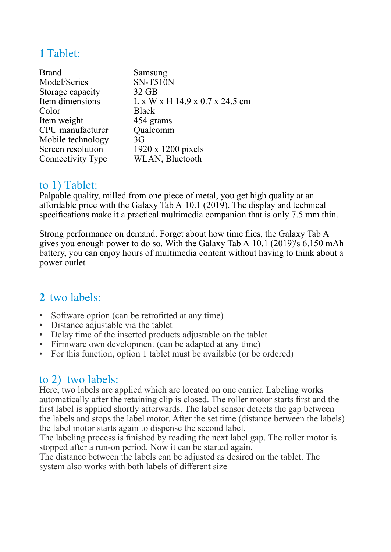## **1**Tablet:

| Samsung                                                  |
|----------------------------------------------------------|
| <b>SN-T510N</b>                                          |
| $32$ GB                                                  |
| $L \times W \times H$ 14.9 $\times$ 0.7 $\times$ 24.5 cm |
| <b>Black</b>                                             |
| 454 grams                                                |
| Qualcomm                                                 |
| 3G                                                       |
| 1920 x 1200 pixels                                       |
| WLAN, Bluetooth                                          |
|                                                          |

#### to 1) Tablet:

Palpable quality, milled from one piece of metal, you get high quality at an affordable price with the Galaxy Tab A 10.1 (2019). The display and technical specifications make it a practical multimedia companion that is only 7.5 mm thin.

Strong performance on demand. Forget about how time flies, the Galaxy Tab A gives you enough power to do so. With the Galaxy Tab A 10.1 (2019)'s 6,150 mAh battery, you can enjoy hours of multimedia content without having to think about a power outlet

### **2** two labels:

- Software option (can be retrofitted at any time)
- Distance adjustable via the tablet
- Delay time of the inserted products adjustable on the tablet
- Firmware own development (can be adapted at any time)
- For this function, option 1 tablet must be available (or be ordered)

#### to 2) two labels:

Here, two labels are applied which are located on one carrier. Labeling works automatically after the retaining clip is closed. The roller motor starts first and the first label is applied shortly afterwards. The label sensor detects the gap between the labels and stops the label motor. After the set time (distance between the labels) the label motor starts again to dispense the second label.

The labeling process is finished by reading the next label gap. The roller motor is stopped after a run-on period. Now it can be started again.

The distance between the labels can be adjusted as desired on the tablet. The system also works with both labels of different size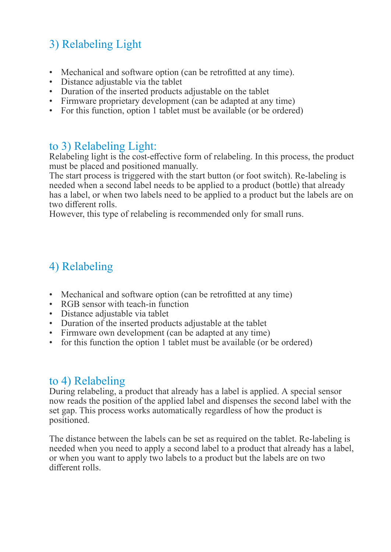# 3) Relabeling Light

- Mechanical and software option (can be retrofitted at any time).
- Distance adjustable via the tablet
- Duration of the inserted products adjustable on the tablet
- Firmware proprietary development (can be adapted at any time)
- For this function, option 1 tablet must be available (or be ordered)

### to 3) Relabeling Light:

Relabeling light is the cost-effective form of relabeling. In this process, the product must be placed and positioned manually.

The start process is triggered with the start button (or foot switch). Re-labeling is needed when a second label needs to be applied to a product (bottle) that already has a label, or when two labels need to be applied to a product but the labels are on two different rolls.

However, this type of relabeling is recommended only for small runs.

# 4) Relabeling

- Mechanical and software option (can be retrofitted at any time)
- RGB sensor with teach-in function
- Distance adjustable via tablet
- Duration of the inserted products adjustable at the tablet
- Firmware own development (can be adapted at any time)
- for this function the option 1 tablet must be available (or be ordered)

#### to 4) Relabeling

During relabeling, a product that already has a label is applied. A special sensor now reads the position of the applied label and dispenses the second label with the set gap. This process works automatically regardless of how the product is positioned.

The distance between the labels can be set as required on the tablet. Re-labeling is needed when you need to apply a second label to a product that already has a label, or when you want to apply two labels to a product but the labels are on two different rolls.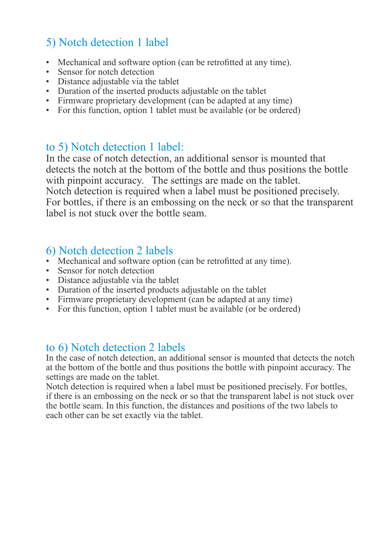# 5) Notch detection 1 label

- Mechanical and software option (can be retrofitted at any time).
- Sensor for notch detection
- Distance adjustable via the tablet
- Duration of the inserted products adjustable on the tablet
- Firmware proprietary development (can be adapted at any time)
- For this function, option 1 tablet must be available (or be ordered)

### to 5) Notch detection 1 label:

In the case of notch detection, an additional sensor is mounted that detects the notch at the bottom of the bottle and thus positions the bottle with pinpoint accuracy. The settings are made on the tablet. Notch detection is required when a label must be positioned precisely. For bottles, if there is an embossing on the neck or so that the transparent label is not stuck over the bottle seam.

### 6) Notch detection 2 labels

- Mechanical and software option (can be retrofitted at any time).
- Sensor for notch detection
- Distance adjustable via the tablet
- Duration of the inserted products adjustable on the tablet
- Firmware proprietary development (can be adapted at any time)
- For this function, option 1 tablet must be available (or be ordered)

### to 6) Notch detection 2 labels

In the case of notch detection, an additional sensor is mounted that detects the notch at the bottom of the bottle and thus positions the bottle with pinpoint accuracy. The settings are made on the tablet.

Notch detection is required when a label must be positioned precisely. For bottles, if there is an embossing on the neck or so that the transparent label is not stuck over the bottle seam. In this function, the distances and positions of the two labels to each other can be set exactly via the tablet.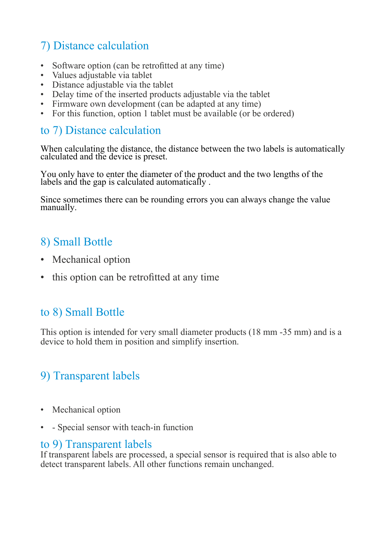# 7) Distance calculation

- Software option (can be retrofitted at any time)
- Values adjustable via tablet
- Distance adjustable via the tablet
- Delay time of the inserted products adjustable via the tablet
- Firmware own development (can be adapted at any time)
- For this function, option 1 tablet must be available (or be ordered)

#### to 7) Distance calculation

When calculating the distance, the distance between the two labels is automatically calculated and the device is preset.

You only have to enter the diameter of the product and the two lengths of the labels and the gap is calculated automatically .

Since sometimes there can be rounding errors you can always change the value manually.

### 8) Small Bottle

- Mechanical option
- this option can be retrofitted at any time

### to 8) Small Bottle

This option is intended for very small diameter products (18 mm -35 mm) and is a device to hold them in position and simplify insertion.

# 9) Transparent labels

- Mechanical option
- - Special sensor with teach-in function

#### to 9) Transparent labels

If transparent labels are processed, a special sensor is required that is also able to detect transparent labels. All other functions remain unchanged.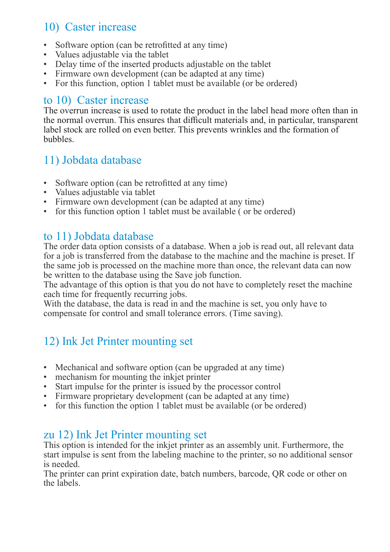## 10) Caster increase

- Software option (can be retrofitted at any time)
- Values adjustable via the tablet
- Delay time of the inserted products adjustable on the tablet
- Firmware own development (can be adapted at any time)
- For this function, option 1 tablet must be available (or be ordered)

### to 10) Caster increase

The overrun increase is used to rotate the product in the label head more often than in the normal overrun. This ensures that difficult materials and, in particular, transparent label stock are rolled on even better. This prevents wrinkles and the formation of bubbles.

### 11) Jobdata database

- Software option (can be retrofitted at any time)
- Values adjustable via tablet
- Firmware own development (can be adapted at any time)
- for this function option 1 tablet must be available (or be ordered)

### to 11) Jobdata database

The order data option consists of a database. When a job is read out, all relevant data for a job is transferred from the database to the machine and the machine is preset. If the same job is processed on the machine more than once, the relevant data can now be written to the database using the Save job function.

The advantage of this option is that you do not have to completely reset the machine each time for frequently recurring jobs.

With the database, the data is read in and the machine is set, you only have to compensate for control and small tolerance errors. (Time saving).

# 12) Ink Jet Printer mounting set

- Mechanical and software option (can be upgraded at any time)
- mechanism for mounting the inkjet printer
- Start impulse for the printer is issued by the processor control
- Firmware proprietary development (can be adapted at any time)
- for this function the option 1 tablet must be available (or be ordered)

### zu 12) Ink Jet Printer mounting set

This option is intended for the inkjet printer as an assembly unit. Furthermore, the start impulse is sent from the labeling machine to the printer, so no additional sensor is needed.

The printer can print expiration date, batch numbers, barcode, QR code or other on the labels.